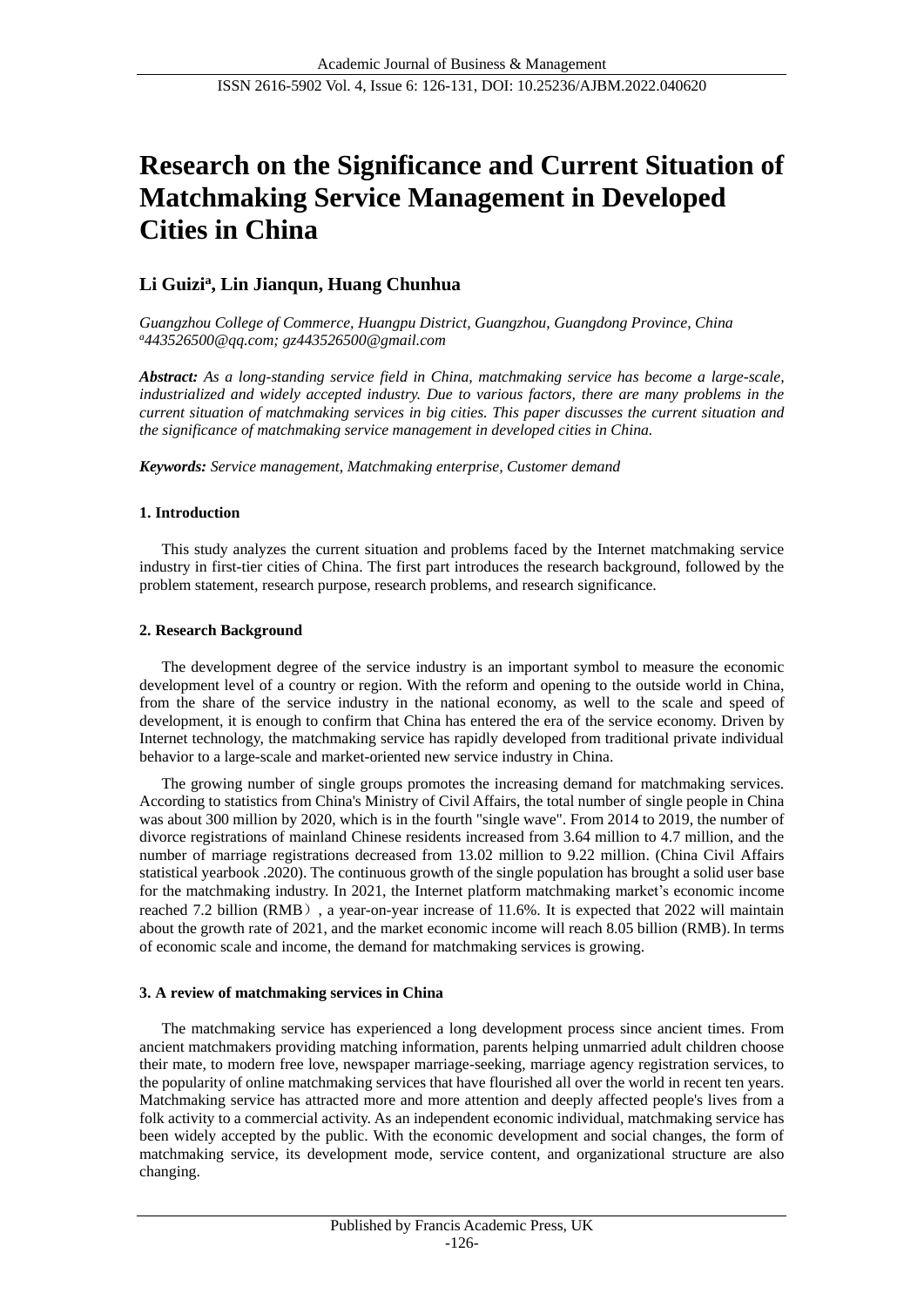# **Research on the Significance and Current Situation of Matchmaking Service Management in Developed Cities in China**

## **Li Guizi<sup>a</sup> , Lin Jianqun, Huang Chunhua**

*Guangzhou College of Commerce, Huangpu District, Guangzhou, Guangdong Province, China <sup>a</sup>[443526500@qq.com;](mailto:137571584@qq.com) gz443526500@gmail.com*

*Abstract: As a long-standing service field in China, matchmaking service has become a large-scale, industrialized and widely accepted industry. Due to various factors, there are many problems in the current situation of matchmaking services in big cities. This paper discusses the current situation and the significance of matchmaking service management in developed cities in China.*

*Keywords: Service management, Matchmaking enterprise, Customer demand*

## **1. Introduction**

This study analyzes the current situation and problems faced by the Internet matchmaking service industry in first-tier cities of China. The first part introduces the research background, followed by the problem statement, research purpose, research problems, and research significance.

## **2. Research Background**

The development degree of the service industry is an important symbol to measure the economic development level of a country or region. With the reform and opening to the outside world in China, from the share of the service industry in the national economy, as well to the scale and speed of development, it is enough to confirm that China has entered the era of the service economy. Driven by Internet technology, the matchmaking service has rapidly developed from traditional private individual behavior to a large-scale and market-oriented new service industry in China.

The growing number of single groups promotes the increasing demand for matchmaking services. According to statistics from China's Ministry of Civil Affairs, the total number of single people in China was about 300 million by 2020, which is in the fourth "single wave". From 2014 to 2019, the number of divorce registrations of mainland Chinese residents increased from 3.64 million to 4.7 million, and the number of marriage registrations decreased from 13.02 million to 9.22 million. (China Civil Affairs statistical yearbook .2020). The continuous growth of the single population has brought a solid user base for the matchmaking industry. In 2021, the Internet platform matchmaking market's economic income reached 7.2 billion (RMB), a year-on-year increase of 11.6%. It is expected that 2022 will maintain about the growth rate of 2021, and the market economic income will reach 8.05 billion (RMB).In terms of economic scale and income, the demand for matchmaking services is growing.

#### **3. A review of matchmaking services in China**

The matchmaking service has experienced a long development process since ancient times. From ancient matchmakers providing matching information, parents helping unmarried adult children choose their mate, to modern free love, newspaper marriage-seeking, marriage agency registration services, to the popularity of online matchmaking services that have flourished all over the world in recent ten years. Matchmaking service has attracted more and more attention and deeply affected people's lives from a folk activity to a commercial activity. As an independent economic individual, matchmaking service has been widely accepted by the public. With the economic development and social changes, the form of matchmaking service, its development mode, service content, and organizational structure are also changing.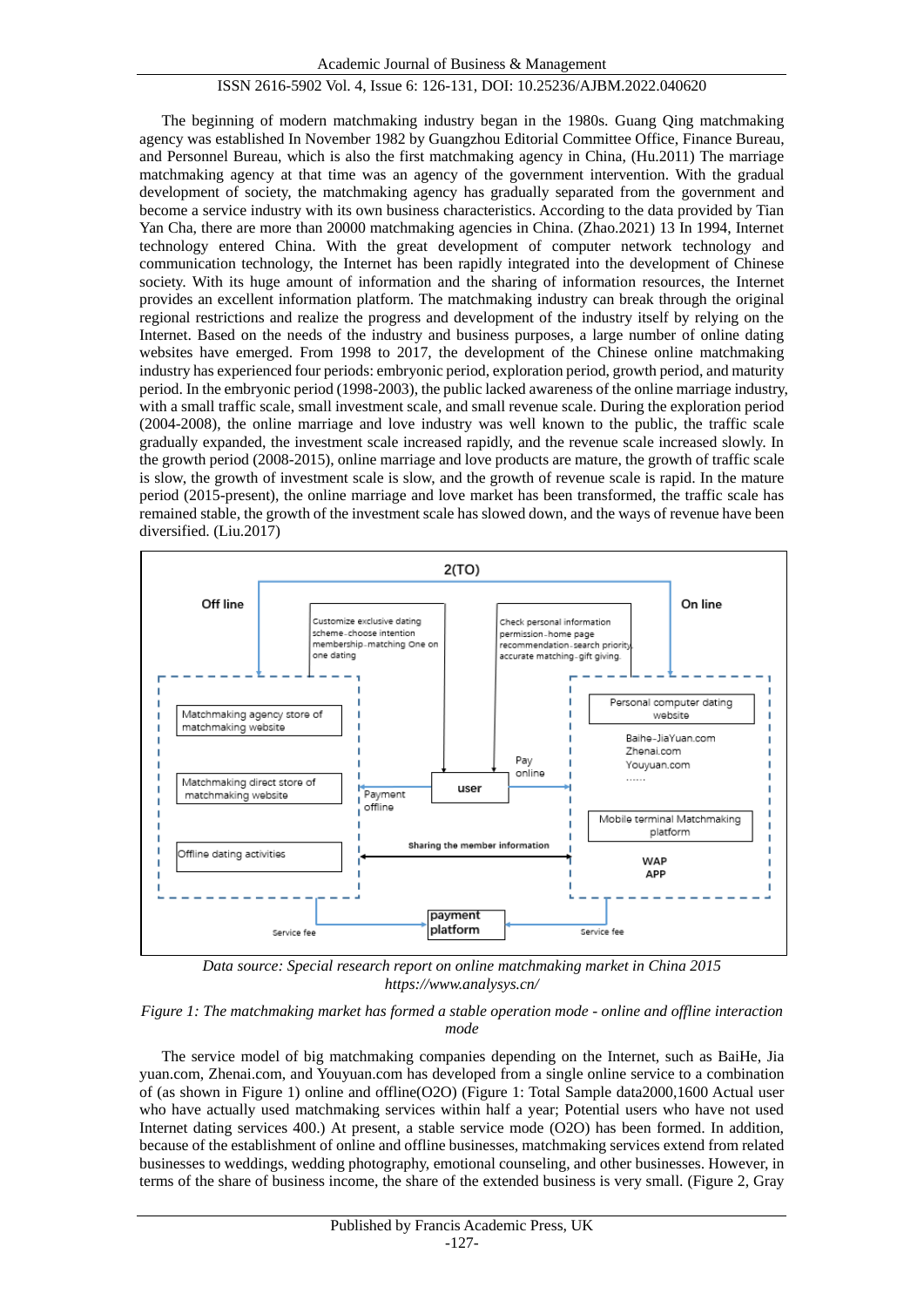The beginning of modern matchmaking industry began in the 1980s. Guang Qing matchmaking agency was established In November 1982 by Guangzhou Editorial Committee Office, Finance Bureau, and Personnel Bureau, which is also the first matchmaking agency in China, (Hu.2011) The marriage matchmaking agency at that time was an agency of the government intervention. With the gradual development of society, the matchmaking agency has gradually separated from the government and become a service industry with its own business characteristics. According to the data provided by Tian Yan Cha, there are more than 20000 matchmaking agencies in China. (Zhao.2021) 13 In 1994, Internet technology entered China. With the great development of computer network technology and communication technology, the Internet has been rapidly integrated into the development of Chinese society. With its huge amount of information and the sharing of information resources, the Internet provides an excellent information platform. The matchmaking industry can break through the original regional restrictions and realize the progress and development of the industry itself by relying on the Internet. Based on the needs of the industry and business purposes, a large number of online dating websites have emerged. From 1998 to 2017, the development of the Chinese online matchmaking industry has experienced four periods: embryonic period, exploration period, growth period, and maturity period. In the embryonic period (1998-2003), the public lacked awareness of the online marriage industry, with a small traffic scale, small investment scale, and small revenue scale. During the exploration period (2004-2008), the online marriage and love industry was well known to the public, the traffic scale gradually expanded, the investment scale increased rapidly, and the revenue scale increased slowly. In the growth period (2008-2015), online marriage and love products are mature, the growth of traffic scale is slow, the growth of investment scale is slow, and the growth of revenue scale is rapid. In the mature period (2015-present), the online marriage and love market has been transformed, the traffic scale has remained stable, the growth of the investment scale has slowed down, and the ways of revenue have been diversified. (Liu.2017)



*Data source: Special research report on online matchmaking market in China 2015 <https://www.analysys.cn/>*

#### *Figure 1: The matchmaking market has formed a stable operation mode - online and offline interaction mode*

The service model of big matchmaking companies depending on the Internet, such as BaiHe, Jia yuan.com, Zhenai.com, and Youyuan.com has developed from a single online service to a combination of (as shown in Figure 1) online and offline(O2O) (Figure 1: Total Sample data2000,1600 Actual user who have actually used matchmaking services within half a year; Potential users who have not used Internet dating services 400.) At present, a stable service mode (O2O) has been formed. In addition, because of the establishment of online and offline businesses, matchmaking services extend from related businesses to weddings, wedding photography, emotional counseling, and other businesses. However, in terms of the share of business income, the share of the extended business is very small. (Figure 2, Gray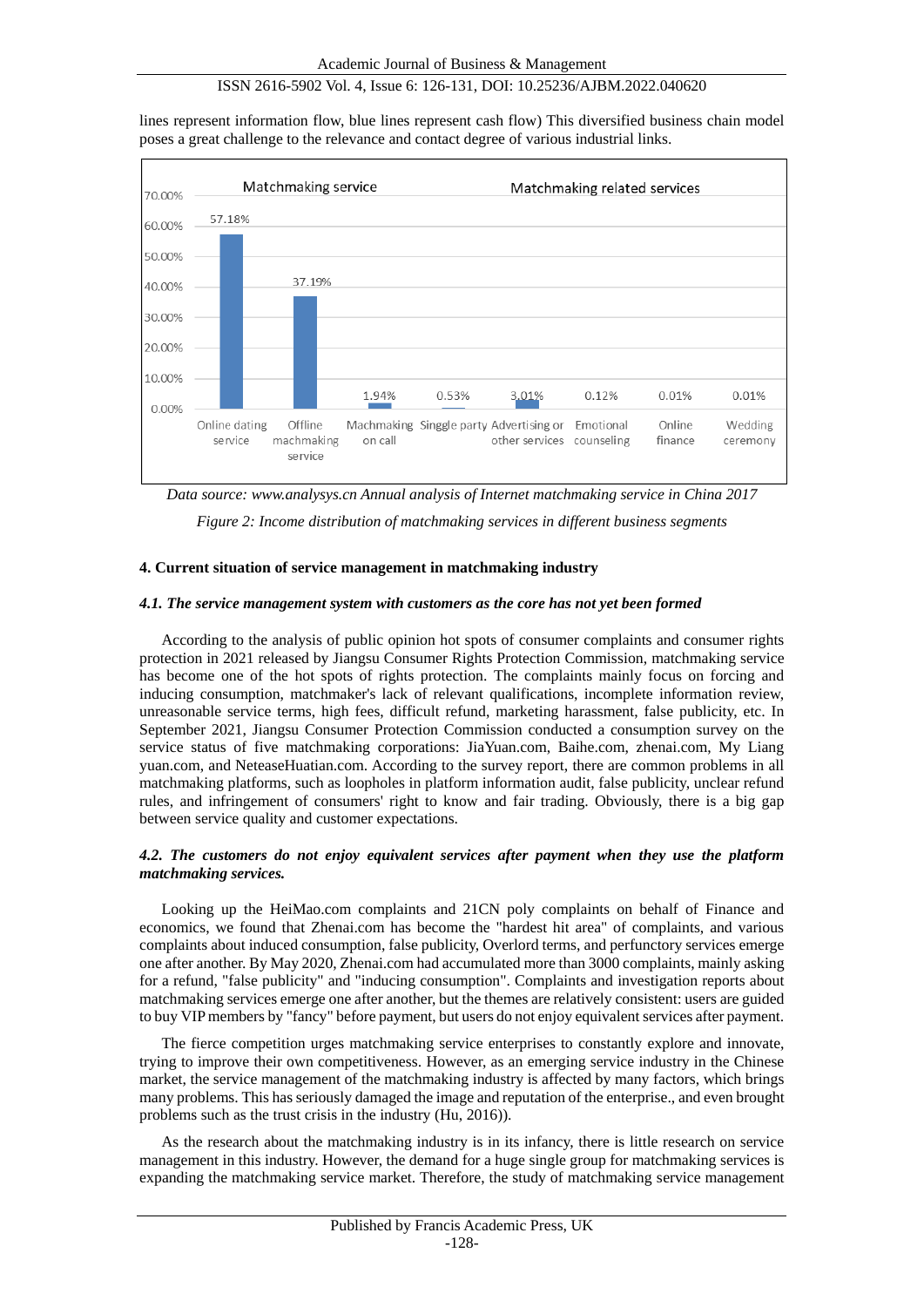lines represent information flow, blue lines represent cash flow) This diversified business chain model poses a great challenge to the relevance and contact degree of various industrial links.



*Data source: www.analysys.cn Annual analysis of Internet matchmaking service in China 2017*

*Figure 2: Income distribution of matchmaking services in different business segments*

## **4. Current situation of service management in matchmaking industry**

#### *4.1. The service management system with customers as the core has not yet been formed*

According to the analysis of public opinion hot spots of consumer complaints and consumer rights protection in 2021 released by Jiangsu Consumer Rights Protection Commission, matchmaking service has become one of the hot spots of rights protection. The complaints mainly focus on forcing and inducing consumption, matchmaker's lack of relevant qualifications, incomplete information review, unreasonable service terms, high fees, difficult refund, marketing harassment, false publicity, etc. In September 2021, Jiangsu Consumer Protection Commission conducted a consumption survey on the service status of five matchmaking corporations: JiaYuan.com, Baihe.com, zhenai.com, My Liang yuan.com, and NeteaseHuatian.com. According to the survey report, there are common problems in all matchmaking platforms, such as loopholes in platform information audit, false publicity, unclear refund rules, and infringement of consumers' right to know and fair trading. Obviously, there is a big gap between service quality and customer expectations.

## *4.2. The customers do not enjoy equivalent services after payment when they use the platform matchmaking services.*

Looking up the HeiMao.com complaints and 21CN poly complaints on behalf of Finance and economics, we found that Zhenai.com has become the "hardest hit area" of complaints, and various complaints about induced consumption, false publicity, Overlord terms, and perfunctory services emerge one after another. By May 2020, Zhenai.com had accumulated more than 3000 complaints, mainly asking for a refund, "false publicity" and "inducing consumption". Complaints and investigation reports about matchmaking services emerge one after another, but the themes are relatively consistent: users are guided to buy VIP members by "fancy" before payment, but users do not enjoy equivalent services after payment.

The fierce competition urges matchmaking service enterprises to constantly explore and innovate, trying to improve their own competitiveness. However, as an emerging service industry in the Chinese market, the service management of the matchmaking industry is affected by many factors, which brings many problems. This has seriously damaged the image and reputation of the enterprise., and even brought problems such as the trust crisis in the industry (Hu, 2016)).

As the research about the matchmaking industry is in its infancy, there is little research on service management in this industry. However, the demand for a huge single group for matchmaking services is expanding the matchmaking service market. Therefore, the study of matchmaking service management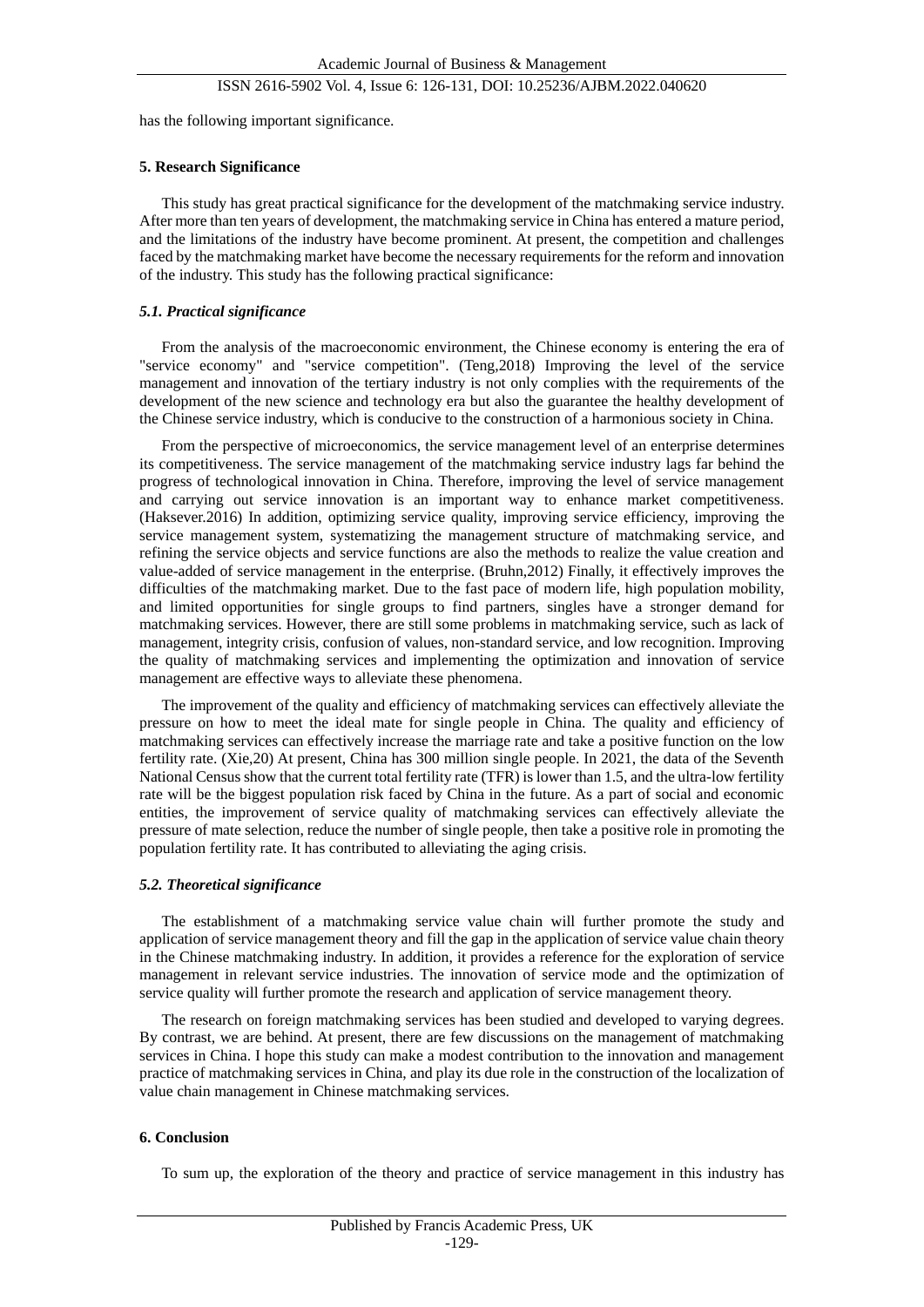has the following important significance.

#### **5. Research Significance**

This study has great practical significance for the development of the matchmaking service industry. After more than ten years of development, the matchmaking service in China has entered a mature period, and the limitations of the industry have become prominent. At present, the competition and challenges faced by the matchmaking market have become the necessary requirements for the reform and innovation of the industry. This study has the following practical significance:

#### *5.1. Practical significance*

From the analysis of the macroeconomic environment, the Chinese economy is entering the era of "service economy" and "service competition". (Teng,2018) Improving the level of the service management and innovation of the tertiary industry is not only complies with the requirements of the development of the new science and technology era but also the guarantee the healthy development of the Chinese service industry, which is conducive to the construction of a harmonious society in China.

From the perspective of microeconomics, the service management level of an enterprise determines its competitiveness. The service management of the matchmaking service industry lags far behind the progress of technological innovation in China. Therefore, improving the level of service management and carrying out service innovation is an important way to enhance market competitiveness. (Haksever.2016) In addition, optimizing service quality, improving service efficiency, improving the service management system, systematizing the management structure of matchmaking service, and refining the service objects and service functions are also the methods to realize the value creation and value-added of service management in the enterprise. (Bruhn,2012) Finally, it effectively improves the difficulties of the matchmaking market. Due to the fast pace of modern life, high population mobility, and limited opportunities for single groups to find partners, singles have a stronger demand for matchmaking services. However, there are still some problems in matchmaking service, such as lack of management, integrity crisis, confusion of values, non-standard service, and low recognition. Improving the quality of matchmaking services and implementing the optimization and innovation of service management are effective ways to alleviate these phenomena.

The improvement of the quality and efficiency of matchmaking services can effectively alleviate the pressure on how to meet the ideal mate for single people in China. The quality and efficiency of matchmaking services can effectively increase the marriage rate and take a positive function on the low fertility rate. (Xie,20) At present, China has 300 million single people. In 2021, the data of the Seventh National Census show that the current total fertility rate (TFR) is lower than 1.5, and the ultra-low fertility rate will be the biggest population risk faced by China in the future. As a part of social and economic entities, the improvement of service quality of matchmaking services can effectively alleviate the pressure of mate selection, reduce the number of single people, then take a positive role in promoting the population fertility rate. It has contributed to alleviating the aging crisis.

#### *5.2. Theoretical significance*

The establishment of a matchmaking service value chain will further promote the study and application of service management theory and fill the gap in the application of service value chain theory in the Chinese matchmaking industry. In addition, it provides a reference for the exploration of service management in relevant service industries. The innovation of service mode and the optimization of service quality will further promote the research and application of service management theory.

The research on foreign matchmaking services has been studied and developed to varying degrees. By contrast, we are behind. At present, there are few discussions on the management of matchmaking services in China. I hope this study can make a modest contribution to the innovation and management practice of matchmaking services in China, and play its due role in the construction of the localization of value chain management in Chinese matchmaking services.

#### **6. Conclusion**

To sum up, the exploration of the theory and practice of service management in this industry has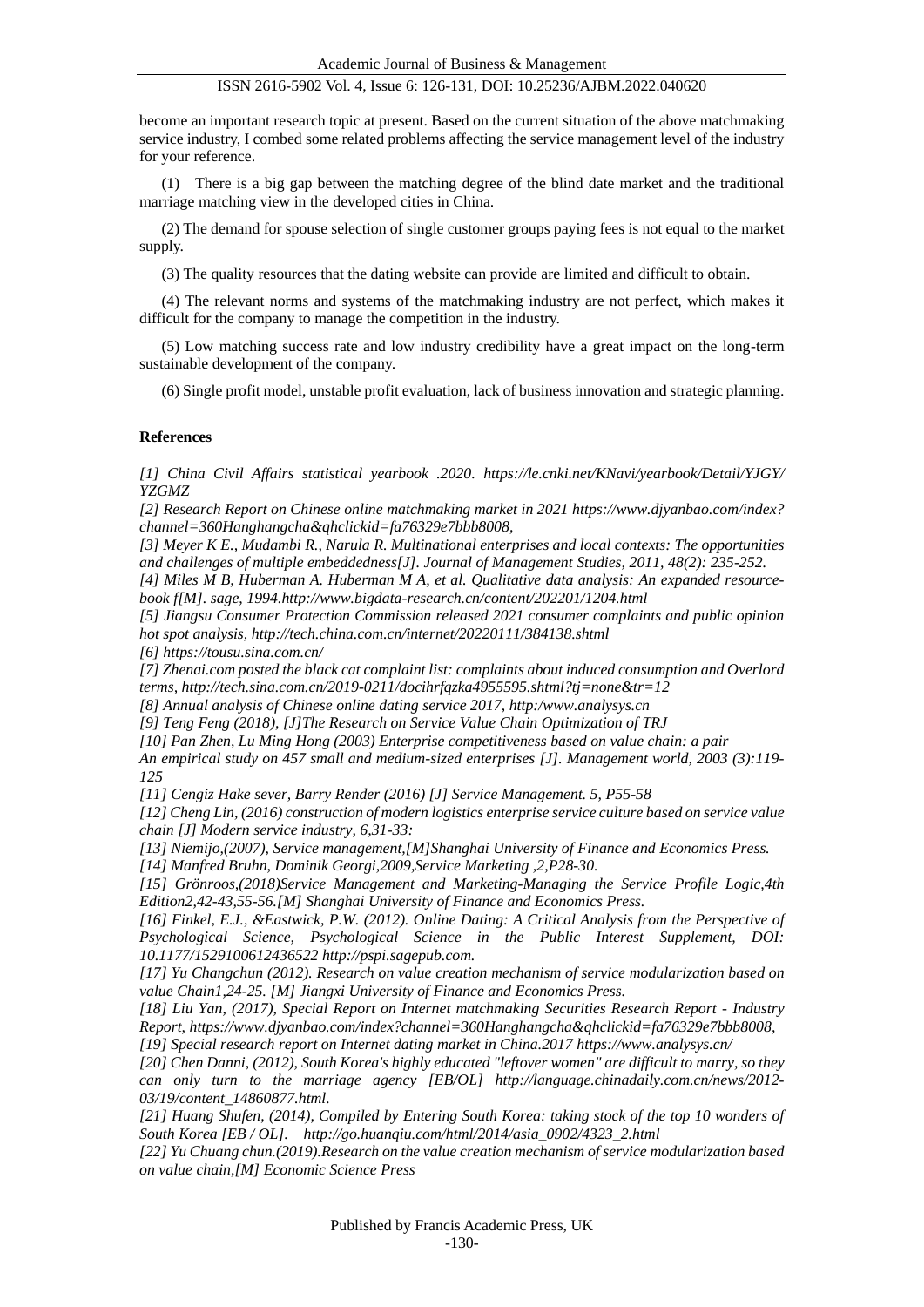become an important research topic at present. Based on the current situation of the above matchmaking service industry, I combed some related problems affecting the service management level of the industry for your reference.

(1) There is a big gap between the matching degree of the blind date market and the traditional marriage matching view in the developed cities in China.

(2) The demand for spouse selection of single customer groups paying fees is not equal to the market supply.

(3) The quality resources that the dating website can provide are limited and difficult to obtain.

(4) The relevant norms and systems of the matchmaking industry are not perfect, which makes it difficult for the company to manage the competition in the industry.

(5) Low matching success rate and low industry credibility have a great impact on the long-term sustainable development of the company.

(6) Single profit model, unstable profit evaluation, lack of business innovation and strategic planning.

#### **References**

*[1] China Civil Affairs statistical yearbook .2020. https://le.cnki.net/KNavi/yearbook/Detail/YJGY/ YZGMZ*

*[2] Research Report on Chinese online matchmaking market in 2021 https://www.djyanbao.com/index? channel=360Hanghangcha&qhclickid=fa76329e7bbb8008,* 

*[3] Meyer K E., Mudambi R., Narula R. Multinational enterprises and local contexts: The opportunities and challenges of multiple embeddedness[J]. Journal of Management Studies, 2011, 48(2): 235-252.*

*[4] Miles M B, Huberman A. Huberman M A, et al. Qualitative data analysis: An expanded resourcebook f[M]. sage, 199[4.http://www.bigdata-research.cn/content/202201/1204.html](http://www.bigdata-research.cn/content/202201/1204.html)*

*[5] Jiangsu Consumer Protection Commission released 2021 consumer complaints and public opinion hot spot analysis,<http://tech.china.com.cn/internet/20220111/384138.shtml>*

*[6]<https://tousu.sina.com.cn/>*

*[7] Zhenai.com posted the black cat complaint list: complaints about induced consumption and Overlord terms, http://tech.sina.com.cn/2019-0211/docihrfqzka4955595.shtml?tj=none&tr=12*

*[8] Annual analysis of Chinese online dating service 2017, http:[/www.analysys.cn](http://www.analysys.cn/)* 

*[9] Teng Feng (2018), [J]The Research on Service Value Chain Optimization of TRJ*

*[10] Pan Zhen, Lu Ming Hong (2003) Enterprise competitiveness based on value chain: a pair*

*An empirical study on 457 small and medium-sized enterprises [J]. Management world, 2003 (3):119- 125*

*[11] Cengiz Hake sever, Barry Render (2016) [J] Service Management. 5, P55-58*

*[12] Cheng Lin, (2016) construction of modern logistics enterprise service culture based on service value chain [J] Modern service industry, 6,31-33:*

*[13] Niemijo,(2007), Service management,[M]Shanghai University of Finance and Economics Press.*

*[14] Manfred Bruhn, Dominik Georgi,2009,Service Marketing ,2,P28-30.* 

*[15] Grönroos,(2018)Service Management and Marketing-Managing the Service Profile Logic,4th Edition2,42-43,55-56.[M] Shanghai University of Finance and Economics Press.*

*[16] Finkel, E.J., &Eastwick, P.W. (2012). Online Dating: A Critical Analysis from the Perspective of Psychological Science, Psychological Science in the Public Interest Supplement, DOI: 10.1177/1529100612436522 http://pspi.sagepub.com.*

*[17] Yu Changchun (2012). Research on value creation mechanism of service modularization based on value Chain1,24-25. [M] Jiangxi University of Finance and Economics Press.*

*[18] Liu Yan, (2017), Special Report on Internet matchmaking Securities Research Report - Industry Report, https://www.djyanbao.com/index?channel=360Hanghangcha&qhclickid=fa76329e7bbb8008, [19] Special research report on Internet dating market in China.2017<https://www.analysys.cn/>*

*[20] Chen Danni, (2012), South Korea's highly educated "leftover women" are difficult to marry, so they can only turn to the marriage agency [EB/OL] [http://language.chinadaily.com.cn/news/2012-](http://language.chinadaily.com.cn/news/2012-03/19/content_14860877.html) [03/19/content\\_14860877.html.](http://language.chinadaily.com.cn/news/2012-03/19/content_14860877.html)*

*[21] Huang Shufen, (2014), Compiled by Entering South Korea: taking stock of the top 10 wonders of South Korea [EB / OL]. http://go.huanqiu.com/html/2014/asia\_0902/4323\_2.html*

*[22] Yu Chuang chun.(2019).Research on the value creation mechanism of service modularization based on value chain,[M] Economic Science Press*